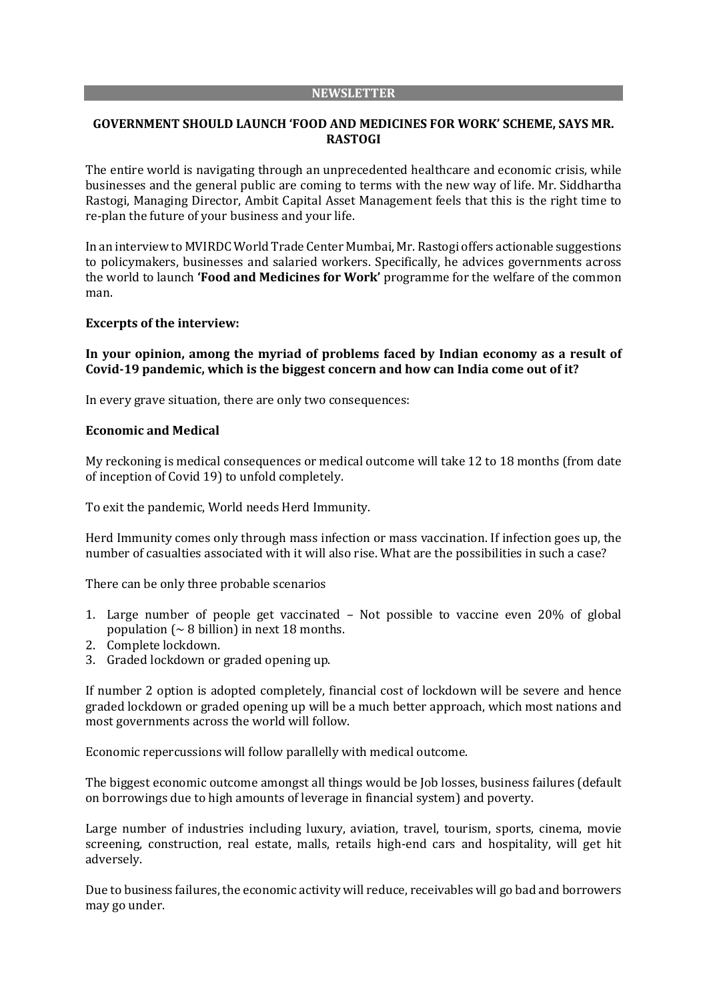#### **NEWSLETTER**

# **GOVERNMENT SHOULD LAUNCH 'FOOD AND MEDICINES FOR WORK' SCHEME, SAYS MR. RASTOGI**

The entire world is navigating through an unprecedented healthcare and economic crisis, while businesses and the general public are coming to terms with the new way of life. Mr. Siddhartha Rastogi, Managing Director, Ambit Capital Asset Management feels that this is the right time to re-plan the future of your business and your life.

In an interview to MVIRDC World Trade Center Mumbai, Mr. Rastogi offers actionable suggestions to policymakers, businesses and salaried workers. Specifically, he advices governments across the world to launch **'Food and Medicines for Work'** programme for the welfare of the common man.

#### **Excerpts of the interview:**

**In your opinion, among the myriad of problems faced by Indian economy as a result of Covid-19 pandemic, which is the biggest concern and how can India come out of it?**

In every grave situation, there are only two consequences:

#### **Economic and Medical**

My reckoning is medical consequences or medical outcome will take 12 to 18 months (from date of inception of Covid 19) to unfold completely.

To exit the pandemic, World needs Herd Immunity.

Herd Immunity comes only through mass infection or mass vaccination. If infection goes up, the number of casualties associated with it will also rise. What are the possibilities in such a case?

There can be only three probable scenarios

- 1. Large number of people get vaccinated Not possible to vaccine even 20% of global population ( $\sim$  8 billion) in next 18 months.
- 2. Complete lockdown.
- 3. Graded lockdown or graded opening up.

If number 2 option is adopted completely, financial cost of lockdown will be severe and hence graded lockdown or graded opening up will be a much better approach, which most nations and most governments across the world will follow.

Economic repercussions will follow parallelly with medical outcome.

The biggest economic outcome amongst all things would be Job losses, business failures (default on borrowings due to high amounts of leverage in financial system) and poverty.

Large number of industries including luxury, aviation, travel, tourism, sports, cinema, movie screening, construction, real estate, malls, retails high-end cars and hospitality, will get hit adversely.

Due to business failures, the economic activity will reduce, receivables will go bad and borrowers may go under.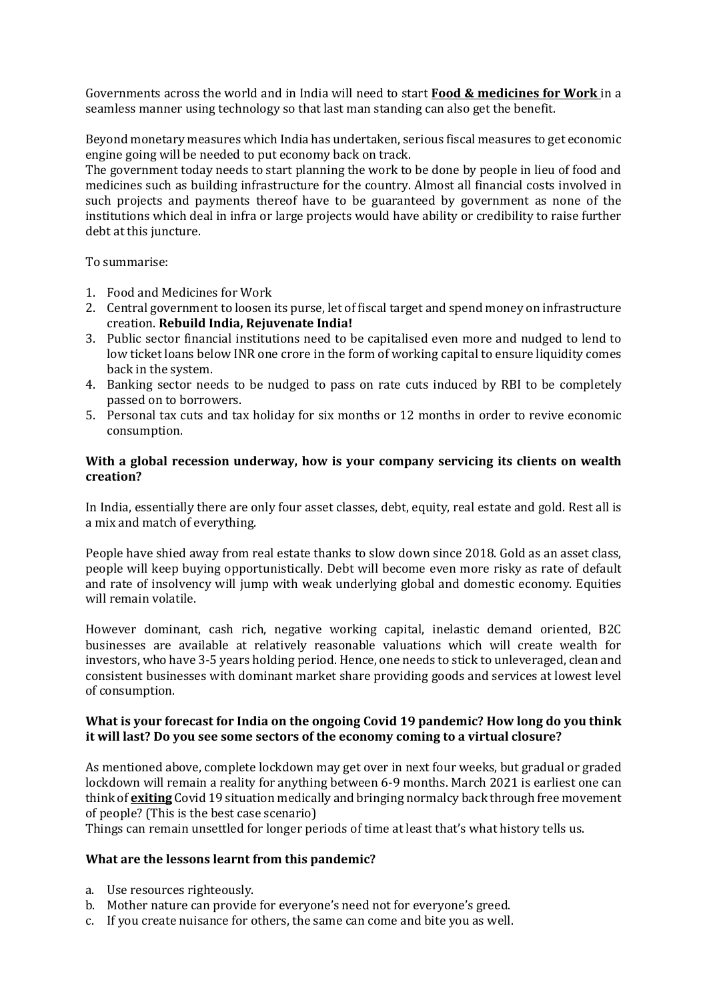Governments across the world and in India will need to start **Food & medicines for Work** in a seamless manner using technology so that last man standing can also get the benefit.

Beyond monetary measures which India has undertaken, serious fiscal measures to get economic engine going will be needed to put economy back on track.

The government today needs to start planning the work to be done by people in lieu of food and medicines such as building infrastructure for the country. Almost all financial costs involved in such projects and payments thereof have to be guaranteed by government as none of the institutions which deal in infra or large projects would have ability or credibility to raise further debt at this juncture.

To summarise:

- 1. Food and Medicines for Work
- 2. Central government to loosen its purse, let of fiscal target and spend money on infrastructure creation. **Rebuild India, Rejuvenate India!**
- 3. Public sector financial institutions need to be capitalised even more and nudged to lend to low ticket loans below INR one crore in the form of working capital to ensure liquidity comes back in the system.
- 4. Banking sector needs to be nudged to pass on rate cuts induced by RBI to be completely passed on to borrowers.
- 5. Personal tax cuts and tax holiday for six months or 12 months in order to revive economic consumption.

### **With a global recession underway, how is your company servicing its clients on wealth creation?**

In India, essentially there are only four asset classes, debt, equity, real estate and gold. Rest all is a mix and match of everything.

People have shied away from real estate thanks to slow down since 2018. Gold as an asset class, people will keep buying opportunistically. Debt will become even more risky as rate of default and rate of insolvency will jump with weak underlying global and domestic economy. Equities will remain volatile.

However dominant, cash rich, negative working capital, inelastic demand oriented, B2C businesses are available at relatively reasonable valuations which will create wealth for investors, who have 3-5 years holding period. Hence, one needs to stick to unleveraged, clean and consistent businesses with dominant market share providing goods and services at lowest level of consumption.

# **What is your forecast for India on the ongoing Covid 19 pandemic? How long do you think it will last? Do you see some sectors of the economy coming to a virtual closure?**

As mentioned above, complete lockdown may get over in next four weeks, but gradual or graded lockdown will remain a reality for anything between 6-9 months. March 2021 is earliest one can think of **exiting** Covid 19 situation medically and bringing normalcy back through free movement of people? (This is the best case scenario)

Things can remain unsettled for longer periods of time at least that's what history tells us.

# **What are the lessons learnt from this pandemic?**

- a. Use resources righteously.
- b. Mother nature can provide for everyone's need not for everyone's greed.
- c. If you create nuisance for others, the same can come and bite you as well.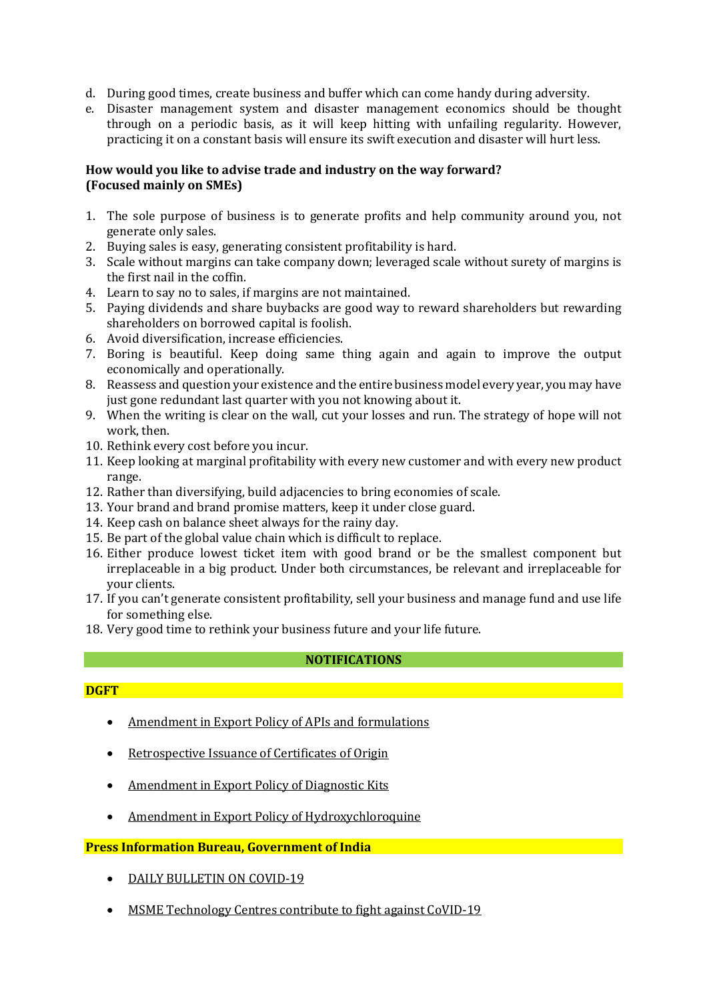- d. During good times, create business and buffer which can come handy during adversity.
- e. Disaster management system and disaster management economics should be thought through on a periodic basis, as it will keep hitting with unfailing regularity. However, practicing it on a constant basis will ensure its swift execution and disaster will hurt less.

# **How would you like to advise trade and industry on the way forward? (Focused mainly on SMEs)**

- 1. The sole purpose of business is to generate profits and help community around you, not generate only sales.
- 2. Buying sales is easy, generating consistent profitability is hard.
- 3. Scale without margins can take company down; leveraged scale without surety of margins is the first nail in the coffin.
- 4. Learn to say no to sales, if margins are not maintained.
- 5. Paying dividends and share buybacks are good way to reward shareholders but rewarding shareholders on borrowed capital is foolish.
- 6. Avoid diversification, increase efficiencies.
- 7. Boring is beautiful. Keep doing same thing again and again to improve the output economically and operationally.
- 8. Reassess and question your existence and the entire business model every year, you may have just gone redundant last quarter with you not knowing about it.
- 9. When the writing is clear on the wall, cut your losses and run. The strategy of hope will not work, then.
- 10. Rethink every cost before you incur.
- 11. Keep looking at marginal profitability with every new customer and with every new product range.
- 12. Rather than diversifying, build adjacencies to bring economies of scale.
- 13. Your brand and brand promise matters, keep it under close guard.
- 14. Keep cash on balance sheet always for the rainy day.
- 15. Be part of the global value chain which is difficult to replace.
- 16. Either produce lowest ticket item with good brand or be the smallest component but irreplaceable in a big product. Under both circumstances, be relevant and irreplaceable for your clients.
- 17. If you can't generate consistent profitability, sell your business and manage fund and use life for something else.
- 18. Very good time to rethink your business future and your life future.

# **NOTIFICATIONS**

#### **DGFT DGFT DESCRIPTION IN A SET OF A SET OF A SET OF A SET OF A SET OF A SET OF A SET OF A SET OF A SET OF A SET OF A SET OF A SET OF A SET OF A SET OF A SET OF A SET OF A SET OF A SET OF A SET OF A SET OF A SET OF A S**

- Amendment in Export Policy of APIs and [formulations](https://dgft.gov.in/sites/default/files/Noti%202%20Final_0.pdf)
- [Retrospective](https://dgft.gov.in/sites/default/files/Trade%20Notice%20No.62.pdf) Issuance of Certificates of Origin
- [Amendment](https://dgft.gov.in/sites/default/files/Noti%2059%20Final%20Eng_0.pdf) in Export Policy of Diagnostic Kits
- Amendment in Export Policy of [Hydroxychloroquine](https://dgft.gov.in/sites/default/files/Noti%201%20Final%20Eng_0.pdf)

# **Press Information Bureau, Government of India**

- DAILY [BULLETIN](https://pib.gov.in/PressReleseDetail.aspx?PRID=1611429) ON COVID-19
- MSME [Technology](https://pib.gov.in/PressReleseDetail.aspx?PRID=1611318) Centres contribute to fight against CoVID-19